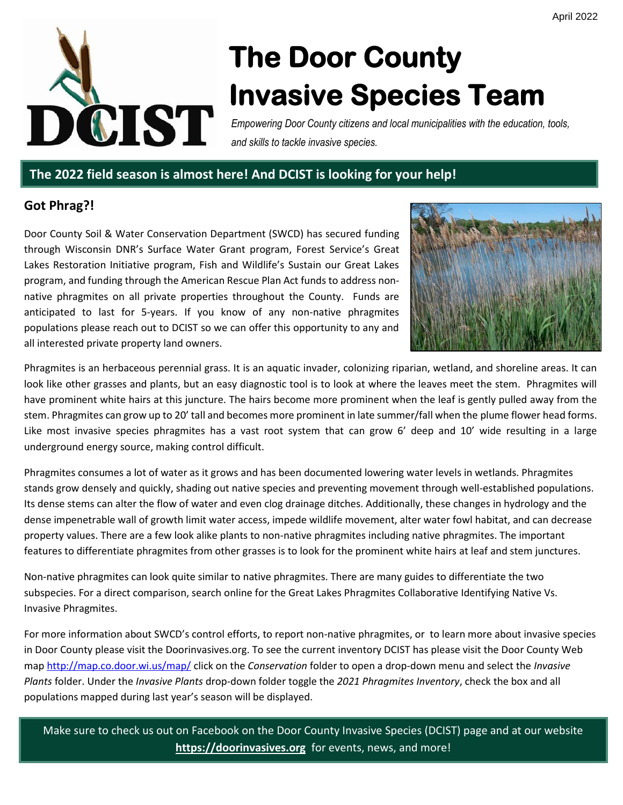

# **The Door County Invasive Species Team**

*Empowering Door County citizens and local municipalities with the education, tools, and skills to tackle invasive species.*

# **The 2022 field season is almost here! And DCIST is looking for your help!**

# **Got Phrag?!**

Door County Soil & Water Conservation Department (SWCD) has secured funding through Wisconsin DNR's Surface Water Grant program, Forest Service's Great Lakes Restoration Initiative program, Fish and Wildlife's Sustain our Great Lakes program, and funding through the American Rescue Plan Act funds to address nonnative phragmites on all private properties throughout the County. Funds are anticipated to last for 5-years. If you know of any non-native phragmites populations please reach out to DCIST so we can offer this opportunity to any and all interested private property land owners.



Phragmites is an herbaceous perennial grass. It is an aquatic invader, colonizing riparian, wetland, and shoreline areas. It can look like other grasses and plants, but an easy diagnostic tool is to look at where the leaves meet the stem. Phragmites will have prominent white hairs at this juncture. The hairs become more prominent when the leaf is gently pulled away from the stem. Phragmites can grow up to 20' tall and becomes more prominent in late summer/fall when the plume flower head forms. Like most invasive species phragmites has a vast root system that can grow 6' deep and 10' wide resulting in a large underground energy source, making control difficult.

Phragmites consumes a lot of water as it grows and has been documented lowering water levels in wetlands. Phragmites stands grow densely and quickly, shading out native species and preventing movement through well-established populations. Its dense stems can alter the flow of water and even clog drainage ditches. Additionally, these changes in hydrology and the dense impenetrable wall of growth limit water access, impede wildlife movement, alter water fowl habitat, and can decrease property values. There are a few look alike plants to non-native phragmites including native phragmites. The important features to differentiate phragmites from other grasses is to look for the prominent white hairs at leaf and stem junctures.

Non-native phragmites can look quite similar to native phragmites. There are many guides to differentiate the two subspecies. For a direct comparison, search online for the Great Lakes Phragmites Collaborative Identifying Native Vs. Invasive Phragmites.

For more information about SWCD's control efforts, to report non-native phragmites, or to learn more about invasive species in Door County please visit the Doorinvasives.org. To see the current inventory DCIST has please visit the Door County Web map<http://map.co.door.wi.us/map/> click on the *Conservation* folder to open a drop-down menu and select the *Invasive Plants* folder. Under the *Invasive Plants* drop-down folder toggle the *2021 Phragmites Inventory*, check the box and all populations mapped during last year's season will be displayed.

Make sure to check us out on Facebook on the Door County Invasive Species (DCIST) page and at our website **[https://doorinvasives.org](https://doorinvasives.org/)** for events, news, and more!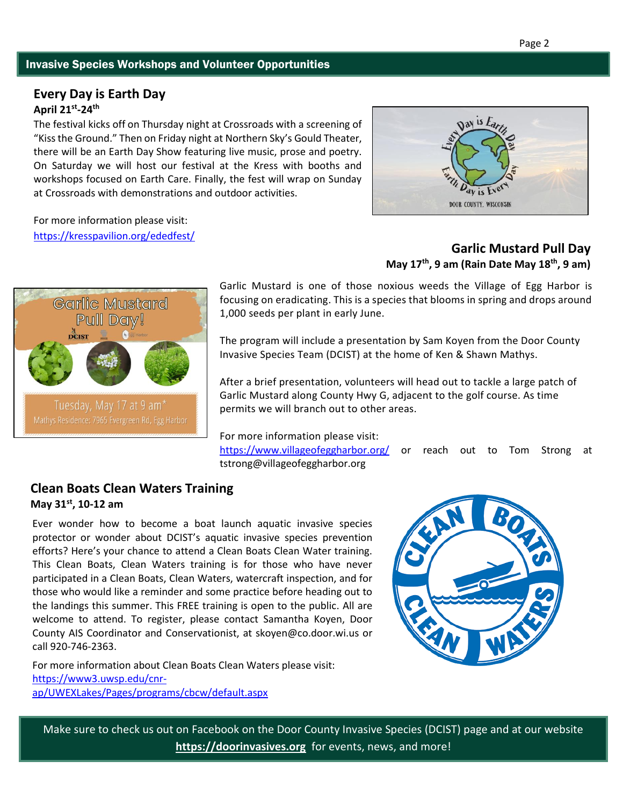#### Invasive Species Workshops and Volunteer Opportunities

# **Every Day is Earth Day April 21st -24th**

The festival kicks off on Thursday night at Crossroads with a screening of "Kiss the Ground." Then on Friday night at Northern Sky's Gould Theater, there will be an Earth Day Show featuring live music, prose and poetry. On Saturday we will host our festival at the Kress with booths and workshops focused on Earth Care. Finally, the fest will wrap on Sunday at Crossroads with demonstrations and outdoor activities.

For more information please visit: <https://kresspavilion.org/ededfest/>



# **Garlic Mustard** Pull Day! Tuesday, May 17 at 9 am<sup>\*</sup>

# **Garlic Mustard Pull Day May 17th, 9 am (Rain Date May 18th, 9 am)**

Garlic Mustard is one of those noxious weeds the Village of Egg Harbor is focusing on eradicating. This is a species that blooms in spring and drops around 1,000 seeds per plant in early June.

The program will include a presentation by Sam Koyen from the Door County Invasive Species Team (DCIST) at the home of Ken & Shawn Mathys.

After a brief presentation, volunteers will head out to tackle a large patch of Garlic Mustard along County Hwy G, adjacent to the golf course. As time permits we will branch out to other areas.

For more information please visit:

<https://www.villageofeggharbor.org/> or reach out to Tom Strong at tstrong@villageofeggharbor.org

#### **Clean Boats Clean Waters Training May 31st, 10-12 am**

Ever wonder how to become a boat launch aquatic invasive species protector or wonder about DCIST's aquatic invasive species prevention efforts? Here's your chance to attend a Clean Boats Clean Water training. This Clean Boats, Clean Waters training is for those who have never participated in a Clean Boats, Clean Waters, watercraft inspection, and for those who would like a reminder and some practice before heading out to the landings this summer. This FREE training is open to the public. All are welcome to attend. To register, please contact Samantha Koyen, Door County AIS Coordinator and Conservationist, at skoyen@co.door.wi.us or call 920-746-2363.

For more information about Clean Boats Clean Waters please visit: [https://www3.uwsp.edu/cnr](https://www3.uwsp.edu/cnr-ap/UWEXLakes/Pages/programs/cbcw/default.aspx)[ap/UWEXLakes/Pages/programs/cbcw/default.aspx](https://www3.uwsp.edu/cnr-ap/UWEXLakes/Pages/programs/cbcw/default.aspx)



Make sure to check us out on Facebook on the Door County Invasive Species (DCIST) page and at our website **[https://doorinvasives.org](https://doorinvasives.org/)** for events, news, and more!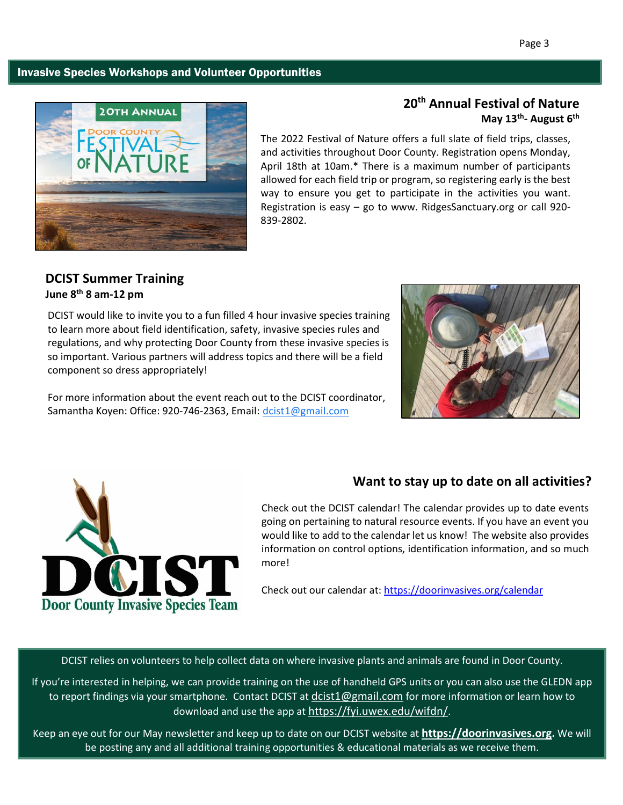#### Invasive Species Workshops and Volunteer Opportunities



# **20th Annual Festival of Nature May 13th - August 6th**

The 2022 Festival of Nature offers a full slate of field trips, classes, and activities throughout Door County. Registration opens Monday, April 18th at 10am.\* There is a maximum number of participants allowed for each field trip or program, so registering early is the best way to ensure you get to participate in the activities you want. Registration is easy – go to www. RidgesSanctuary.org or call 920- 839-2802.

# **DCIST Summer Training June 8th 8 am-12 pm**

DCIST would like to invite you to a fun filled 4 hour invasive species training to learn more about field identification, safety, invasive species rules and regulations, and why protecting Door County from these invasive species is so important. Various partners will address topics and there will be a field component so dress appropriately!

For more information about the event reach out to the DCIST coordinator, Samantha Koyen: Office: 920-746-2363, Email: [dcist1@gmail.com](mailto:dcist1@gmail.com)





# **Want to stay up to date on all activities?**

Check out the DCIST calendar! The calendar provides up to date events going on pertaining to natural resource events. If you have an event you would like to add to the calendar let us know! The website also provides information on control options, identification information, and so much more!

Check out our calendar at:<https://doorinvasives.org/calendar>

DCIST relies on volunteers to help collect data on where invasive plants and animals are found in Door County.

If you're interested in helping, we can provide training on the use of handheld GPS units or you can also use the GLEDN app to report findings via your smartphone. Contact DCIST at [dcist1@gmail.com](mailto:dcist1@gmail.com) for more information or learn how to download and use the app at <https://fyi.uwex.edu/wifdn/>.

Keep an eye out for our May newsletter and keep up to date on our DCIST website at **[https://doorinvasives.org](https://doorinvasives.org/).** We will be posting any and all additional training opportunities & educational materials as we receive them.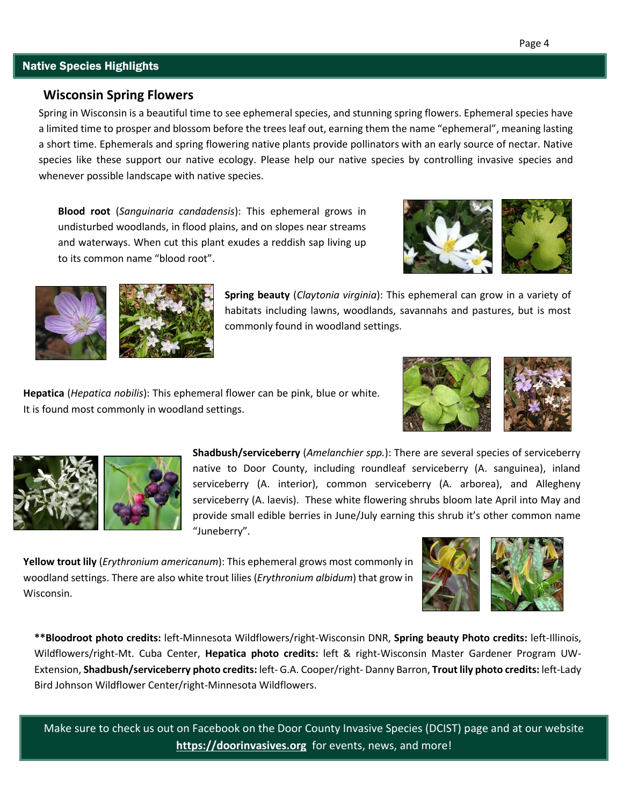#### Native Species Highlights

#### **Wisconsin Spring Flowers**

Spring in Wisconsin is a beautiful time to see ephemeral species, and stunning spring flowers. Ephemeral species have a limited time to prosper and blossom before the trees leaf out, earning them the name "ephemeral", meaning lasting a short time. Ephemerals and spring flowering native plants provide pollinators with an early source of nectar. Native species like these support our native ecology. Please help our native species by controlling invasive species and whenever possible landscape with native species.

**Blood root** (*Sanguinaria candadensis*): This ephemeral grows in undisturbed woodlands, in flood plains, and on slopes near streams and waterways. When cut this plant exudes a reddish sap living up to its common name "blood root".





**Spring beauty** (*Claytonia virginia*): This ephemeral can grow in a variety of habitats including lawns, woodlands, savannahs and pastures, but is most commonly found in woodland settings.

**Hepatica** (*Hepatica nobilis*): This ephemeral flower can be pink, blue or white. It is found most commonly in woodland settings.





**Shadbush/serviceberry** (*Amelanchier spp.*): There are several species of serviceberry native to Door County, including roundleaf serviceberry (A. sanguinea), inland serviceberry (A. interior), common serviceberry (A. arborea), and Allegheny serviceberry (A. laevis). These white flowering shrubs bloom late April into May and provide small edible berries in June/July earning this shrub it's other common name "Juneberry".

**Yellow trout lily** (*Erythronium americanum*): This ephemeral grows most commonly in woodland settings. There are also white trout lilies (*Erythronium albidum*) that grow in Wisconsin.



**\*\*Bloodroot photo credits:** left-Minnesota Wildflowers/right-Wisconsin DNR, **Spring beauty Photo credits:** left-Illinois, Wildflowers/right-Mt. Cuba Center, **Hepatica photo credits:** left & right-Wisconsin Master Gardener Program UW-Extension, **Shadbush/serviceberry photo credits:** left- G.A. Cooper/right- Danny Barron, **Trout lily photo credits:** left-Lady Bird Johnson Wildflower Center/right-Minnesota Wildflowers.

Make sure to check us out on Facebook on the Door County Invasive Species (DCIST) page and at our website **[https://doorinvasives.org](https://doorinvasives.org/)** for events, news, and more!